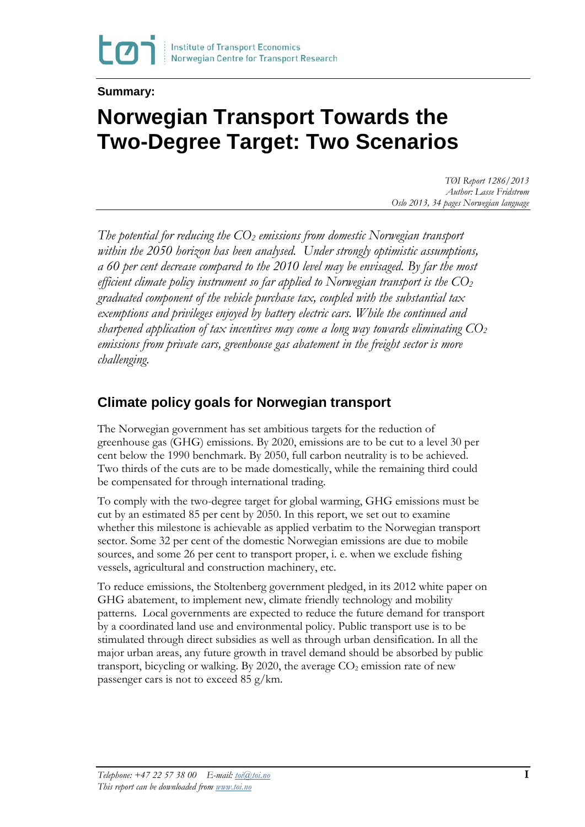#### **Summary:**

# **Norwegian Transport Towards the Two-Degree Target: Two Scenarios**

*TØI Report 1286/2013 Author: Lasse Fridstrøm Oslo 2013, 34 pages Norwegian language*

*The potential for reducing the CO2 emissions from domestic Norwegian transport within the 2050 horizon has been analysed. Under strongly optimistic assumptions, a 60 per cent decrease compared to the 2010 level may be envisaged. By far the most efficient climate policy instrument so far applied to Norwegian transport is the CO2 graduated component of the vehicle purchase tax, coupled with the substantial tax exemptions and privileges enjoyed by battery electric cars. While the continued and sharpened application of tax incentives may come a long way towards eliminating CO2 emissions from private cars, greenhouse gas abatement in the freight sector is more challenging.* 

#### **Climate policy goals for Norwegian transport**

The Norwegian government has set ambitious targets for the reduction of greenhouse gas (GHG) emissions. By 2020, emissions are to be cut to a level 30 per cent below the 1990 benchmark. By 2050, full carbon neutrality is to be achieved. Two thirds of the cuts are to be made domestically, while the remaining third could be compensated for through international trading.

To comply with the two-degree target for global warming, GHG emissions must be cut by an estimated 85 per cent by 2050. In this report, we set out to examine whether this milestone is achievable as applied verbatim to the Norwegian transport sector. Some 32 per cent of the domestic Norwegian emissions are due to mobile sources, and some 26 per cent to transport proper, i. e. when we exclude fishing vessels, agricultural and construction machinery, etc.

To reduce emissions, the Stoltenberg government pledged, in its 2012 white paper on GHG abatement, to implement new, climate friendly technology and mobility patterns. Local governments are expected to reduce the future demand for transport by a coordinated land use and environmental policy. Public transport use is to be stimulated through direct subsidies as well as through urban densification. In all the major urban areas, any future growth in travel demand should be absorbed by public transport, bicycling or walking. By 2020, the average  $CO<sub>2</sub>$  emission rate of new passenger cars is not to exceed 85 g/km.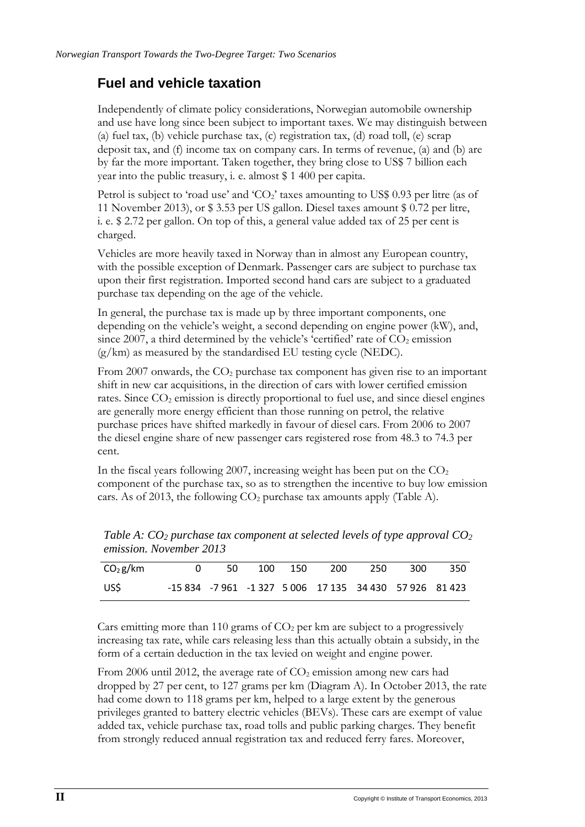#### **Fuel and vehicle taxation**

Independently of climate policy considerations, Norwegian automobile ownership and use have long since been subject to important taxes. We may distinguish between (a) fuel tax, (b) vehicle purchase tax, (c) registration tax, (d) road toll, (e) scrap deposit tax, and (f) income tax on company cars. In terms of revenue, (a) and (b) are by far the more important. Taken together, they bring close to US\$ 7 billion each year into the public treasury, i. e. almost \$ 1 400 per capita.

Petrol is subject to 'road use' and ' $CO<sub>2</sub>$ ' taxes amounting to US\$ 0.93 per litre (as of 11 November 2013), or \$ 3.53 per US gallon. Diesel taxes amount \$ 0.72 per litre, i. e. \$ 2.72 per gallon. On top of this, a general value added tax of 25 per cent is charged.

Vehicles are more heavily taxed in Norway than in almost any European country, with the possible exception of Denmark. Passenger cars are subject to purchase tax upon their first registration. Imported second hand cars are subject to a graduated purchase tax depending on the age of the vehicle.

In general, the purchase tax is made up by three important components, one depending on the vehicle's weight, a second depending on engine power (kW), and, since 2007, a third determined by the vehicle's 'certified' rate of  $CO<sub>2</sub>$  emission  $(g/km)$  as measured by the standardised EU testing cycle (NEDC).

From 2007 onwards, the  $CO<sub>2</sub>$  purchase tax component has given rise to an important shift in new car acquisitions, in the direction of cars with lower certified emission rates. Since  $CO<sub>2</sub>$  emission is directly proportional to fuel use, and since diesel engines are generally more energy efficient than those running on petrol, the relative purchase prices have shifted markedly in favour of diesel cars. From 2006 to 2007 the diesel engine share of new passenger cars registered rose from 48.3 to 74.3 per cent.

In the fiscal years following 2007, increasing weight has been put on the  $CO<sub>2</sub>$ component of the purchase tax, so as to strengthen the incentive to buy low emission cars. As of 2013, the following  $CO<sub>2</sub>$  purchase tax amounts apply (Table A).

| CO <sub>2</sub> g/km |  |  | 0 50 100 150 200 250 300 350                            |  |
|----------------------|--|--|---------------------------------------------------------|--|
| US\$                 |  |  | -15 834 -7 961 -1 327 5 006 17 135 34 430 57 926 81 423 |  |

*Table A: CO2 purchase tax component at selected levels of type approval CO2 emission. November 2013*

Cars emitting more than 110 grams of  $CO<sub>2</sub>$  per km are subject to a progressively increasing tax rate, while cars releasing less than this actually obtain a subsidy, in the form of a certain deduction in the tax levied on weight and engine power.

From 2006 until 2012, the average rate of  $CO<sub>2</sub>$  emission among new cars had dropped by 27 per cent, to 127 grams per km (Diagram A). In October 2013, the rate had come down to 118 grams per km, helped to a large extent by the generous privileges granted to battery electric vehicles (BEVs). These cars are exempt of value added tax, vehicle purchase tax, road tolls and public parking charges. They benefit from strongly reduced annual registration tax and reduced ferry fares. Moreover,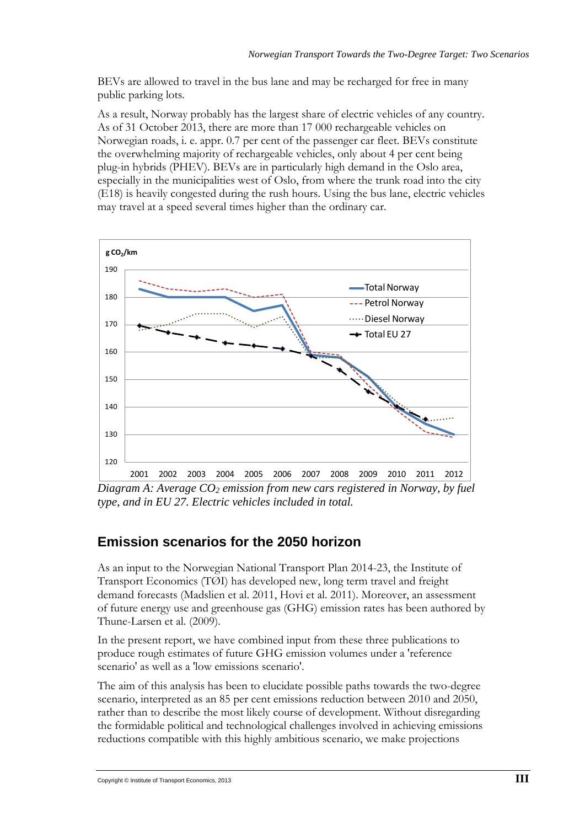BEVs are allowed to travel in the bus lane and may be recharged for free in many public parking lots.

As a result, Norway probably has the largest share of electric vehicles of any country. As of 31 October 2013, there are more than 17 000 rechargeable vehicles on Norwegian roads, i. e. appr. 0.7 per cent of the passenger car fleet. BEVs constitute the overwhelming majority of rechargeable vehicles, only about 4 per cent being plug-in hybrids (PHEV). BEVs are in particularly high demand in the Oslo area, especially in the municipalities west of Oslo, from where the trunk road into the city (E18) is heavily congested during the rush hours. Using the bus lane, electric vehicles may travel at a speed several times higher than the ordinary car.



*Diagram A: Average CO2 emission from new cars registered in Norway, by fuel type, and in EU 27. Electric vehicles included in total.* 

### **Emission scenarios for the 2050 horizon**

As an input to the Norwegian National Transport Plan 2014-23, the Institute of Transport Economics (TØI) has developed new, long term travel and freight demand forecasts (Madslien et al. 2011, Hovi et al. 2011). Moreover, an assessment of future energy use and greenhouse gas (GHG) emission rates has been authored by Thune-Larsen et al. (2009).

In the present report, we have combined input from these three publications to produce rough estimates of future GHG emission volumes under a 'reference scenario' as well as a 'low emissions scenario'.

The aim of this analysis has been to elucidate possible paths towards the two-degree scenario, interpreted as an 85 per cent emissions reduction between 2010 and 2050, rather than to describe the most likely course of development. Without disregarding the formidable political and technological challenges involved in achieving emissions reductions compatible with this highly ambitious scenario, we make projections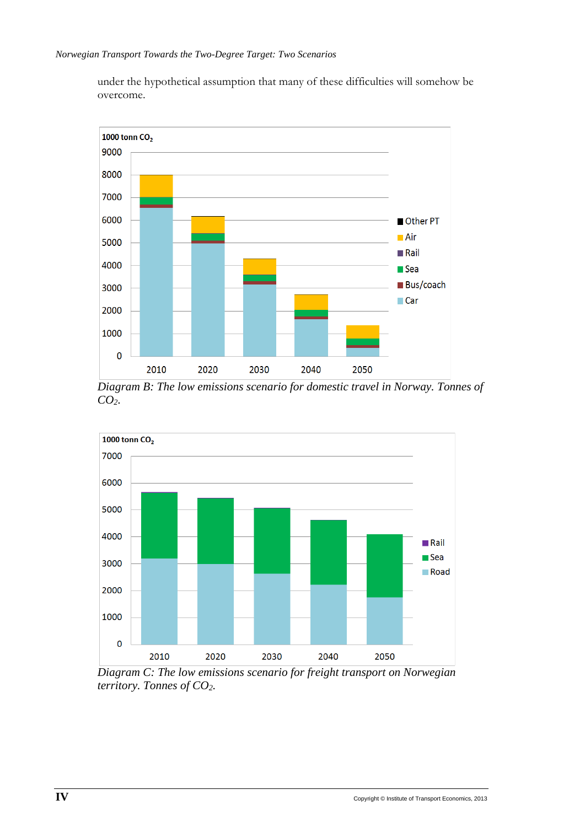under the hypothetical assumption that many of these difficulties will somehow be overcome.



*Diagram B: The low emissions scenario for domestic travel in Norway. Tonnes of CO2.*



*Diagram C: The low emissions scenario for freight transport on Norwegian territory. Tonnes of CO2.*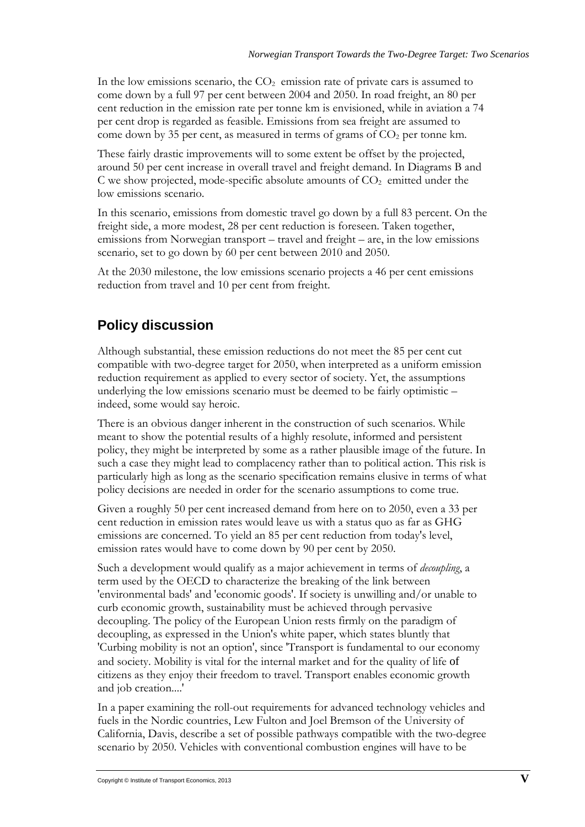In the low emissions scenario, the  $CO<sub>2</sub>$  emission rate of private cars is assumed to come down by a full 97 per cent between 2004 and 2050. In road freight, an 80 per cent reduction in the emission rate per tonne km is envisioned, while in aviation a 74 per cent drop is regarded as feasible. Emissions from sea freight are assumed to come down by 35 per cent, as measured in terms of grams of  $CO<sub>2</sub>$  per tonne km.

These fairly drastic improvements will to some extent be offset by the projected, around 50 per cent increase in overall travel and freight demand. In Diagrams B and C we show projected, mode-specific absolute amounts of  $CO<sub>2</sub>$  emitted under the low emissions scenario.

In this scenario, emissions from domestic travel go down by a full 83 percent. On the freight side, a more modest, 28 per cent reduction is foreseen. Taken together, emissions from Norwegian transport – travel and freight – are, in the low emissions scenario, set to go down by 60 per cent between 2010 and 2050.

At the 2030 milestone, the low emissions scenario projects a 46 per cent emissions reduction from travel and 10 per cent from freight.

## **Policy discussion**

Although substantial, these emission reductions do not meet the 85 per cent cut compatible with two-degree target for 2050, when interpreted as a uniform emission reduction requirement as applied to every sector of society. Yet, the assumptions underlying the low emissions scenario must be deemed to be fairly optimistic – indeed, some would say heroic.

There is an obvious danger inherent in the construction of such scenarios. While meant to show the potential results of a highly resolute, informed and persistent policy, they might be interpreted by some as a rather plausible image of the future. In such a case they might lead to complacency rather than to political action. This risk is particularly high as long as the scenario specification remains elusive in terms of what policy decisions are needed in order for the scenario assumptions to come true.

Given a roughly 50 per cent increased demand from here on to 2050, even a 33 per cent reduction in emission rates would leave us with a status quo as far as GHG emissions are concerned. To yield an 85 per cent reduction from today's level, emission rates would have to come down by 90 per cent by 2050.

Such a development would qualify as a major achievement in terms of *decoupling*, a term used by the OECD to characterize the breaking of the link between 'environmental bads' and 'economic goods'. If society is unwilling and/or unable to curb economic growth, sustainability must be achieved through pervasive decoupling. The policy of the European Union rests firmly on the paradigm of decoupling, as expressed in the Union's white paper, which states bluntly that 'Curbing mobility is not an option', since 'Transport is fundamental to our economy and society. Mobility is vital for the internal market and for the quality of life of citizens as they enjoy their freedom to travel. Transport enables economic growth and job creation....'

In a paper examining the roll-out requirements for advanced technology vehicles and fuels in the Nordic countries, Lew Fulton and Joel Bremson of the University of California, Davis, describe a set of possible pathways compatible with the two-degree scenario by 2050. Vehicles with conventional combustion engines will have to be